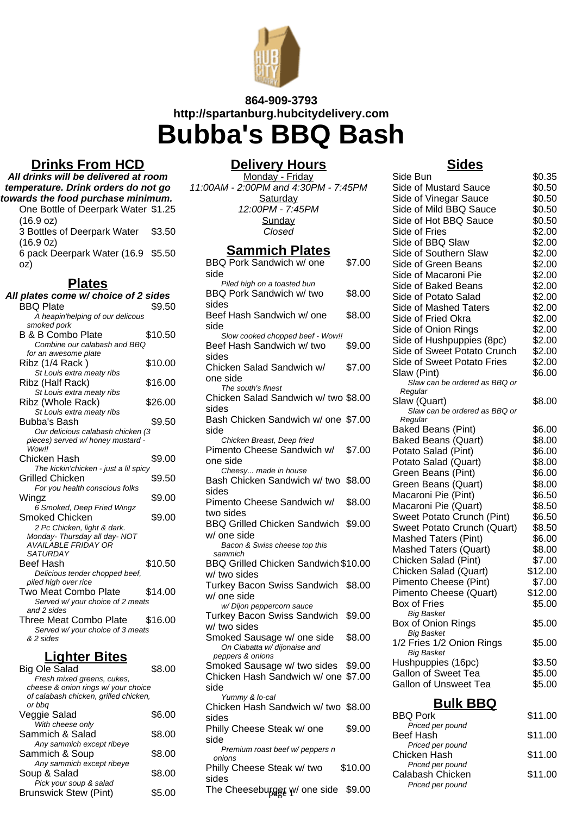

# **864-909-3793 http://spartanburg.hubcitydelivery.com Bubba's BBQ Bash**

## **Drinks From HCD**

**All drinks will be delivered at room temperature. Drink orders do not go towards the food purchase minimum.** One Bottle of Deerpark Water \$1.25 (16.9 oz) 3 Bottles of Deerpark Water (16.9 0z) \$3.50 6 pack Deerpark Water (16.9 \$5.50 oz)

## **Plates**

| All plates come w/ choice of 2 sides<br><b>BBQ Plate</b> | \$9.50  |
|----------------------------------------------------------|---------|
| A heapin'helping of our delicous<br>smoked pork          |         |
| <b>B &amp; B Combo Plate</b>                             | \$10.50 |
| Combine our calabash and BBQ                             |         |
| for an awesome plate                                     |         |
| Ribz (1/4 Rack)                                          | \$10.00 |
| St Louis extra meaty ribs                                |         |
| Ribz (Half Rack)                                         | \$16.00 |
| St Louis extra meaty ribs                                |         |
| Ribz (Whole Rack)                                        | \$26.00 |
| St Louis extra meaty ribs                                |         |
| Bubba's Bash                                             | \$9.50  |
| Our delicious calabash chicken (3                        |         |
| pieces) served w/ honey mustard -                        |         |
| <b>Wowll</b>                                             |         |
| Chicken Hash                                             | \$9.00  |
| The kickin'chicken - just a lil spicy                    |         |
| Grilled Chicken                                          | \$9.50  |
| For you health conscious folks                           |         |
| Wingz                                                    | \$9.00  |
| 6 Smoked, Deep Fried Wingz                               |         |
| Smoked Chicken                                           | \$9.00  |
| 2 Pc Chicken, light & dark.                              |         |
| Monday- Thursday all day- NOT                            |         |
| <b>AVAILABLE FRIDAY OR</b>                               |         |
| <b>SATURDAY</b>                                          |         |
| Beef Hash                                                | \$10.50 |
| Delicious tender chopped beef,                           |         |
| piled high over rice                                     |         |
| <b>Two Meat Combo Plate</b>                              | \$14.00 |
| Served w/ your choice of 2 meats                         |         |
| and 2 sides<br>Three Meat Combo Plate                    | \$16.00 |
|                                                          |         |
| Served w/ your choice of 3 meats<br>& 2 sides            |         |
|                                                          |         |
|                                                          |         |

## **Lighter Bites**

| Big Ole Salad                         | S8 00  |
|---------------------------------------|--------|
| Fresh mixed greens, cukes,            |        |
| cheese & onion rings w/ your choice   |        |
| of calabash chicken, grilled chicken, |        |
| or bbg                                |        |
| Veggie Salad                          | \$6.00 |
| With cheese only                      |        |
| Sammich & Salad                       | \$8.00 |
| Any sammich except ribeye             |        |
| Sammich & Soup                        | \$8.00 |
| Any sammich except ribeye             |        |
| Soup & Salad                          | \$8.00 |
| Pick your soup & salad                |        |
| <b>Brunswick Stew (Pint)</b>          | \$5.00 |
|                                       |        |

### **Delivery Hours**

Monday - Friday 11:00AM - 2:00PM and 4:30PM - 7:45PM **Saturday** 12:00PM - 7:45PM **Sunday** Closed

## **Sammich Plates**

| BBQ Pork Sandwich w/ one             | \$7.00  |
|--------------------------------------|---------|
| side                                 |         |
| Piled high on a toasted bun          |         |
| BBQ Pork Sandwich w/ two             | \$8.00  |
| sides                                |         |
| Beef Hash Sandwich w/ one            | \$8.00  |
| side                                 |         |
| Slow cooked chopped beef - Wow!!     |         |
| Beef Hash Sandwich w/ two            | \$9.00  |
| sides                                |         |
| Chicken Salad Sandwich w/            |         |
|                                      | \$7.00  |
| one side                             |         |
| The south's finest                   |         |
| Chicken Salad Sandwich w/ two \$8.00 |         |
| sides                                |         |
| Bash Chicken Sandwich w/ one \$7.00  |         |
| side                                 |         |
| Chicken Breast, Deep fried           |         |
| Pimento Cheese Sandwich w/           | \$7.00  |
| one side                             |         |
| Cheesy made in house                 |         |
| Bash Chicken Sandwich w/ two         | \$8.00  |
| sides                                |         |
| Pimento Cheese Sandwich w/           | \$8.00  |
| two sides                            |         |
| <b>BBQ Grilled Chicken Sandwich</b>  | \$9.00  |
| w/ one side                          |         |
| Bacon & Swiss cheese top this        |         |
| sammich                              |         |
| BBQ Grilled Chicken Sandwich \$10.00 |         |
| w/ two sides                         |         |
|                                      |         |
| <b>Turkey Bacon Swiss Sandwich</b>   | \$8.00  |
| w/ one side                          |         |
| w/Dijon peppercorn sauce             |         |
| Turkey Bacon Swiss Sandwich          | \$9.00  |
| w/ two sides                         |         |
| Smoked Sausage w/ one side           | \$8.00  |
| On Ciabatta w/ dijonaise and         |         |
| peppers & onions                     |         |
| Smoked Sausage w/ two sides          | \$9.00  |
| Chicken Hash Sandwich w/ one \$7.00  |         |
| side                                 |         |
| Yummy & lo-cal                       |         |
| Chicken Hash Sandwich w/ two \$8.00  |         |
| sides                                |         |
| Philly Cheese Steak w/ one           | \$9.00  |
| side                                 |         |
| Premium roast beef w/ peppers n      |         |
| onions                               |         |
| Philly Cheese Steak w/ two           | \$10.00 |
| sides                                |         |
| The Cheesebugget w/ one side \$9.00  |         |
|                                      |         |

## **Sides**

| Side Bun                                 | \$0.35  |
|------------------------------------------|---------|
| Side of Mustard Sauce                    | \$0.50  |
| Side of Vinegar Sauce                    | \$0.50  |
| Side of Mild BBQ Sauce                   | \$0.50  |
| Side of Hot BBQ Sauce                    | \$0.50  |
| Side of Fries                            | \$2.00  |
| Side of BBQ Slaw                         | \$2.00  |
| Side of Southern Slaw                    | \$2.00  |
| Side of Green Beans                      | \$2.00  |
| Side of Macaroni Pie                     | \$2.00  |
| Side of Baked Beans                      | \$2.00  |
| Side of Potato Salad                     | \$2.00  |
| Side of Mashed Taters                    | \$2.00  |
| Side of Fried Okra                       | \$2.00  |
| Side of Onion Rings                      | \$2.00  |
| Side of Hushpuppies (8pc)                | \$2.00  |
| Side of Sweet Potato Crunch              | \$2.00  |
| Side of Sweet Potato Fries               | \$2.00  |
| Slaw (Pint)                              | \$6.00  |
| Slaw can be ordered as BBQ or            |         |
| Regular                                  |         |
| Slaw (Quart)                             | \$8.00  |
| Slaw can be ordered as BBQ or<br>Regular |         |
| <b>Baked Beans (Pint)</b>                | \$6.00  |
| <b>Baked Beans (Quart)</b>               | \$8.00  |
| Potato Salad (Pint)                      | \$6.00  |
| Potato Salad (Quart)                     | \$8.00  |
| Green Beans (Pint)                       | \$6.00  |
| Green Beans (Quart)                      | \$8.00  |
| Macaroni Pie (Pint)                      | \$6.50  |
| Macaroni Pie (Quart)                     | \$8.50  |
| Sweet Potato Crunch (Pint)               | \$6.50  |
| Sweet Potato Crunch (Quart)              | \$8.50  |
| <b>Mashed Taters (Pint)</b>              | \$6.00  |
| <b>Mashed Taters (Quart)</b>             | \$8.00  |
| Chicken Salad (Pint)                     | \$7.00  |
| Chicken Salad (Quart)                    | \$12.00 |
| Pimento Cheese (Pint)                    | \$7.00  |
| Pimento Cheese (Quart)                   | \$12.00 |
| <b>Box of Fries</b>                      | \$5.00  |
| <b>Big Basket</b>                        |         |
| Box of Onion Rings                       | \$5.00  |
| <b>Big Basket</b>                        |         |
| 1/2 Fries 1/2 Onion Rings                | \$5.00  |
| <b>Big Basket</b>                        |         |
| Hushpuppies (16pc)                       | \$3.50  |
| <b>Gallon of Sweet Tea</b>               | \$5.00  |
| <b>Gallon of Unsweet Tea</b>             | \$5.00  |
| <b>Bulk BBQ</b>                          |         |
|                                          |         |

| PUIN PPS         |         |
|------------------|---------|
| <b>BBQ Pork</b>  | \$11.00 |
| Priced per pound |         |
| Beef Hash        | \$11.00 |
| Priced per pound |         |

| Priced per pound                                         |         |
|----------------------------------------------------------|---------|
| Chicken Hash                                             | \$11.00 |
| Priced per pound<br>Calabash Chicken<br>Priced per pound | \$11.00 |